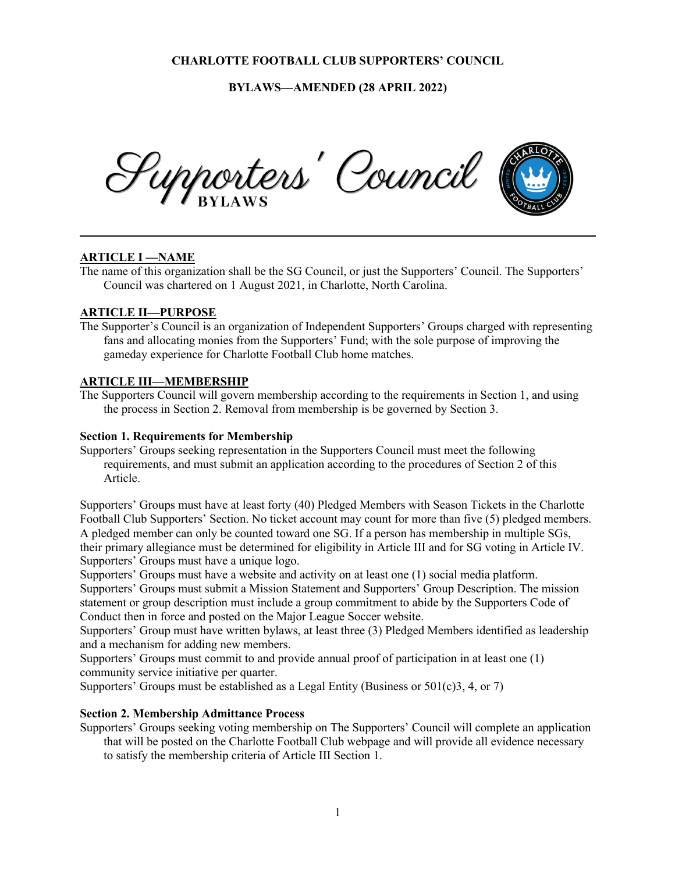**BYLAWS—AMENDED (28 APRIL 2022)**



# **ARTICLE I —NAME**

The name of this organization shall be the SG Council, or just the Supporters' Council. The Supporters' Council was chartered on 1 August 2021, in Charlotte, North Carolina.

## **ARTICLE II—PURPOSE**

The Supporter's Council is an organization of Independent Supporters' Groups charged with representing fans and allocating monies from the Supporters' Fund; with the sole purpose of improving the gameday experience for Charlotte Football Club home matches.

## **ARTICLE III—MEMBERSHIP**

The Supporters Council will govern membership according to the requirements in Section 1, and using the process in Section 2. Removal from membership is be governed by Section 3.

### **Section 1. Requirements for Membership**

Supporters' Groups seeking representation in the Supporters Council must meet the following requirements, and must submit an application according to the procedures of Section 2 of this Article.

Supporters' Groups must have at least forty (40) Pledged Members with Season Tickets in the Charlotte Football Club Supporters' Section. No ticket account may count for more than five (5) pledged members. A pledged member can only be counted toward one SG. If a person has membership in multiple SGs, their primary allegiance must be determined for eligibility in Article III and for SG voting in Article IV. Supporters' Groups must have a unique logo.

Supporters' Groups must have a website and activity on at least one (1) social media platform. Supporters' Groups must submit a Mission Statement and Supporters' Group Description. The mission statement or group description must include a group commitment to abide by the Supporters Code of Conduct then in force and posted on the Major League Soccer website.

Supporters' Group must have written bylaws, at least three (3) Pledged Members identified as leadership and a mechanism for adding new members.

Supporters' Groups must commit to and provide annual proof of participation in at least one (1) community service initiative per quarter.

Supporters' Groups must be established as a Legal Entity (Business or 501(c)3, 4, or 7)

### **Section 2. Membership Admittance Process**

Supporters' Groups seeking voting membership on The Supporters' Council will complete an application that will be posted on the Charlotte Football Club webpage and will provide all evidence necessary to satisfy the membership criteria of Article III Section 1.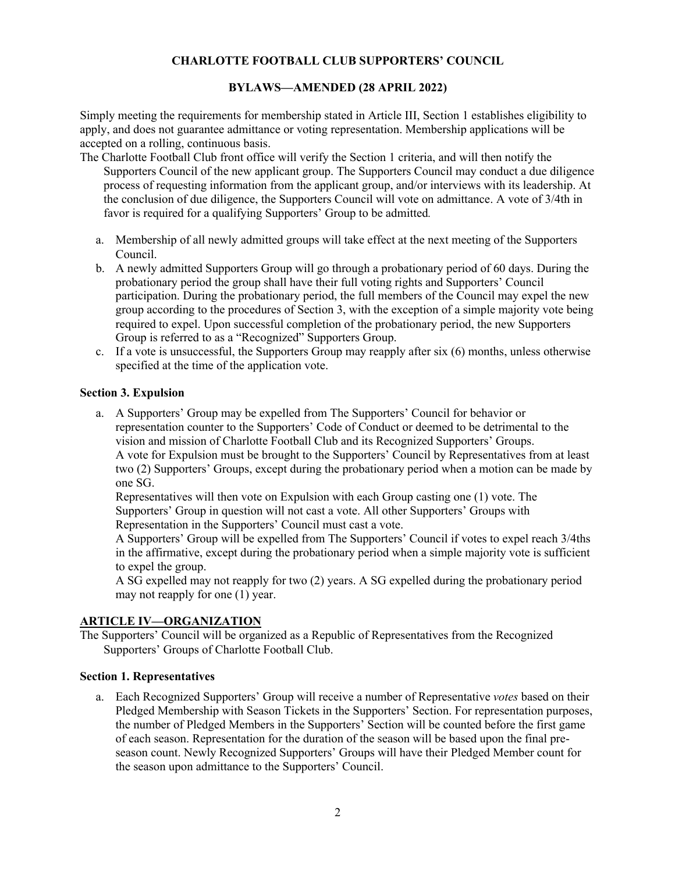## **BYLAWS—AMENDED (28 APRIL 2022)**

Simply meeting the requirements for membership stated in Article III, Section 1 establishes eligibility to apply, and does not guarantee admittance or voting representation. Membership applications will be accepted on a rolling, continuous basis.

- The Charlotte Football Club front office will verify the Section 1 criteria, and will then notify the Supporters Council of the new applicant group. The Supporters Council may conduct a due diligence process of requesting information from the applicant group, and/or interviews with its leadership. At the conclusion of due diligence, the Supporters Council will vote on admittance. A vote of 3/4th in favor is required for a qualifying Supporters' Group to be admitted*.*
	- a. Membership of all newly admitted groups will take effect at the next meeting of the Supporters Council.
	- b. A newly admitted Supporters Group will go through a probationary period of 60 days. During the probationary period the group shall have their full voting rights and Supporters' Council participation. During the probationary period, the full members of the Council may expel the new group according to the procedures of Section 3, with the exception of a simple majority vote being required to expel. Upon successful completion of the probationary period, the new Supporters Group is referred to as a "Recognized" Supporters Group.
	- c. If a vote is unsuccessful, the Supporters Group may reapply after six (6) months, unless otherwise specified at the time of the application vote.

#### **Section 3. Expulsion**

a. A Supporters' Group may be expelled from The Supporters' Council for behavior or representation counter to the Supporters' Code of Conduct or deemed to be detrimental to the vision and mission of Charlotte Football Club and its Recognized Supporters' Groups. A vote for Expulsion must be brought to the Supporters' Council by Representatives from at least two (2) Supporters' Groups, except during the probationary period when a motion can be made by one SG.

Representatives will then vote on Expulsion with each Group casting one (1) vote. The Supporters' Group in question will not cast a vote. All other Supporters' Groups with Representation in the Supporters' Council must cast a vote.

A Supporters' Group will be expelled from The Supporters' Council if votes to expel reach 3/4ths in the affirmative, except during the probationary period when a simple majority vote is sufficient to expel the group.

A SG expelled may not reapply for two (2) years. A SG expelled during the probationary period may not reapply for one (1) year.

# **ARTICLE IV—ORGANIZATION**

The Supporters' Council will be organized as a Republic of Representatives from the Recognized Supporters' Groups of Charlotte Football Club.

### **Section 1. Representatives**

a. Each Recognized Supporters' Group will receive a number of Representative *votes* based on their Pledged Membership with Season Tickets in the Supporters' Section. For representation purposes, the number of Pledged Members in the Supporters' Section will be counted before the first game of each season. Representation for the duration of the season will be based upon the final preseason count. Newly Recognized Supporters' Groups will have their Pledged Member count for the season upon admittance to the Supporters' Council.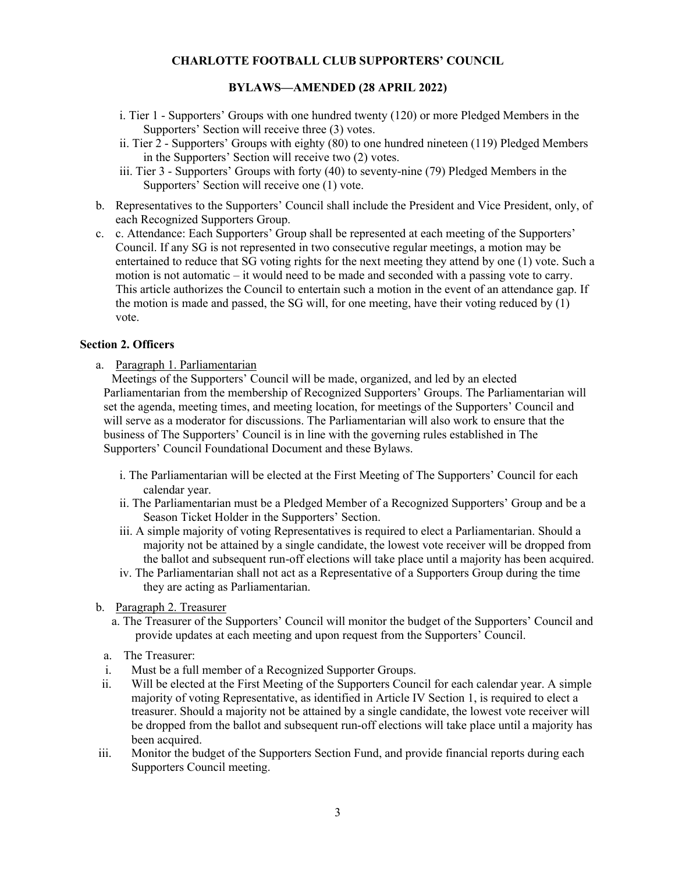### **BYLAWS—AMENDED (28 APRIL 2022)**

- i. Tier 1 Supporters' Groups with one hundred twenty (120) or more Pledged Members in the Supporters' Section will receive three (3) votes.
- ii. Tier 2 Supporters' Groups with eighty (80) to one hundred nineteen (119) Pledged Members in the Supporters' Section will receive two (2) votes.
- iii. Tier 3 Supporters' Groups with forty (40) to seventy-nine (79) Pledged Members in the Supporters' Section will receive one (1) vote.
- b. Representatives to the Supporters' Council shall include the President and Vice President, only, of each Recognized Supporters Group.
- c. c. Attendance: Each Supporters' Group shall be represented at each meeting of the Supporters' Council. If any SG is not represented in two consecutive regular meetings, a motion may be entertained to reduce that SG voting rights for the next meeting they attend by one (1) vote. Such a motion is not automatic – it would need to be made and seconded with a passing vote to carry. This article authorizes the Council to entertain such a motion in the event of an attendance gap. If the motion is made and passed, the SG will, for one meeting, have their voting reduced by (1) vote.

#### **Section 2. Officers**

a. Paragraph 1. Parliamentarian

Meetings of the Supporters' Council will be made, organized, and led by an elected Parliamentarian from the membership of Recognized Supporters' Groups. The Parliamentarian will set the agenda, meeting times, and meeting location, for meetings of the Supporters' Council and will serve as a moderator for discussions. The Parliamentarian will also work to ensure that the business of The Supporters' Council is in line with the governing rules established in The Supporters' Council Foundational Document and these Bylaws.

- i. The Parliamentarian will be elected at the First Meeting of The Supporters' Council for each calendar year.
- ii. The Parliamentarian must be a Pledged Member of a Recognized Supporters' Group and be a Season Ticket Holder in the Supporters' Section.
- iii. A simple majority of voting Representatives is required to elect a Parliamentarian. Should a majority not be attained by a single candidate, the lowest vote receiver will be dropped from the ballot and subsequent run-off elections will take place until a majority has been acquired.
- iv. The Parliamentarian shall not act as a Representative of a Supporters Group during the time they are acting as Parliamentarian.
- b. Paragraph 2. Treasurer
	- a. The Treasurer of the Supporters' Council will monitor the budget of the Supporters' Council and provide updates at each meeting and upon request from the Supporters' Council.
	- a. The Treasurer:
	- i. Must be a full member of a Recognized Supporter Groups.
- ii. Will be elected at the First Meeting of the Supporters Council for each calendar year. A simple majority of voting Representative, as identified in Article IV Section 1, is required to elect a treasurer. Should a majority not be attained by a single candidate, the lowest vote receiver will be dropped from the ballot and subsequent run-off elections will take place until a majority has been acquired.
- iii. Monitor the budget of the Supporters Section Fund, and provide financial reports during each Supporters Council meeting.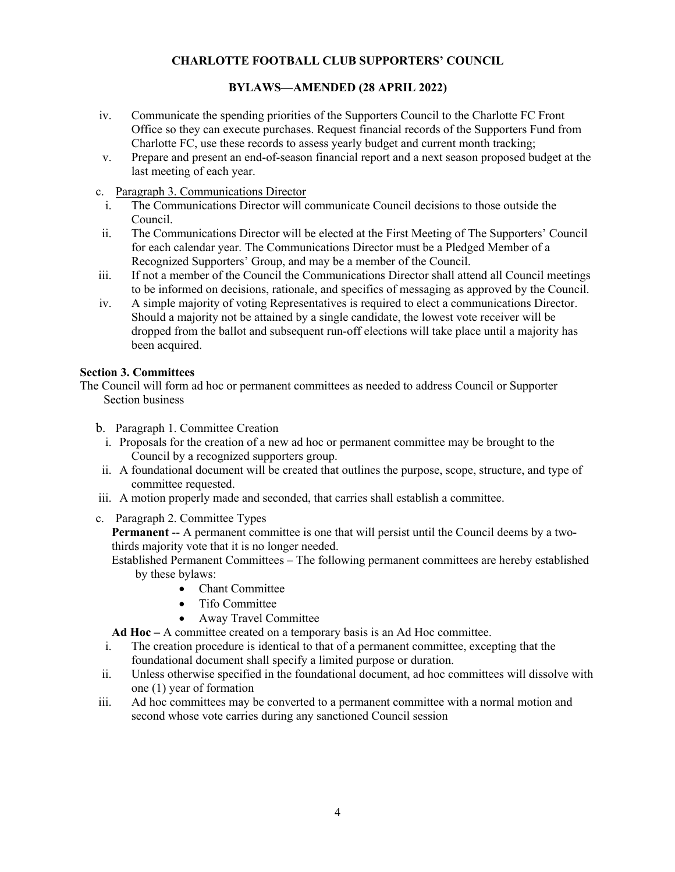## **BYLAWS—AMENDED (28 APRIL 2022)**

- iv. Communicate the spending priorities of the Supporters Council to the Charlotte FC Front Office so they can execute purchases. Request financial records of the Supporters Fund from Charlotte FC, use these records to assess yearly budget and current month tracking;
- v. Prepare and present an end-of-season financial report and a next season proposed budget at the last meeting of each year.
- c. Paragraph 3. Communications Director
- i. The Communications Director will communicate Council decisions to those outside the Council.
- ii. The Communications Director will be elected at the First Meeting of The Supporters' Council for each calendar year. The Communications Director must be a Pledged Member of a Recognized Supporters' Group, and may be a member of the Council.
- iii. If not a member of the Council the Communications Director shall attend all Council meetings to be informed on decisions, rationale, and specifics of messaging as approved by the Council.
- iv. A simple majority of voting Representatives is required to elect a communications Director. Should a majority not be attained by a single candidate, the lowest vote receiver will be dropped from the ballot and subsequent run-off elections will take place until a majority has been acquired.

#### **Section 3. Committees**

The Council will form ad hoc or permanent committees as needed to address Council or Supporter Section business

- b. Paragraph 1. Committee Creation
	- i. Proposals for the creation of a new ad hoc or permanent committee may be brought to the Council by a recognized supporters group.
- ii. A foundational document will be created that outlines the purpose, scope, structure, and type of committee requested.
- iii. A motion properly made and seconded, that carries shall establish a committee.
- c. Paragraph 2. Committee Types

**Permanent** -- A permanent committee is one that will persist until the Council deems by a twothirds majority vote that it is no longer needed.

Established Permanent Committees – The following permanent committees are hereby established by these bylaws:

- Chant Committee
- Tifo Committee
- Away Travel Committee

**Ad Hoc –** A committee created on a temporary basis is an Ad Hoc committee.

- i. The creation procedure is identical to that of a permanent committee, excepting that the foundational document shall specify a limited purpose or duration.
- ii. Unless otherwise specified in the foundational document, ad hoc committees will dissolve with one (1) year of formation
- iii. Ad hoc committees may be converted to a permanent committee with a normal motion and second whose vote carries during any sanctioned Council session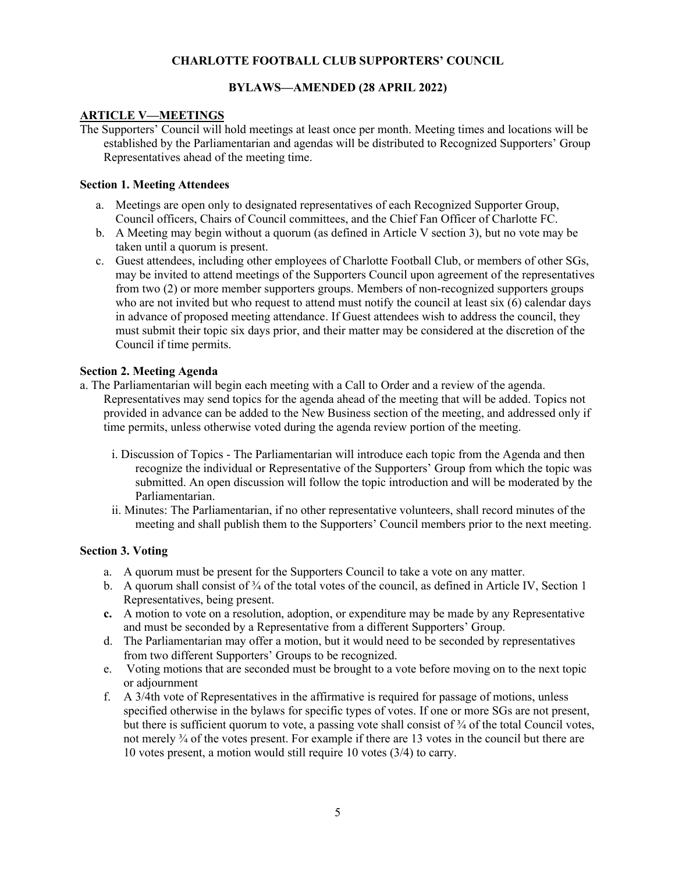## **BYLAWS—AMENDED (28 APRIL 2022)**

### **ARTICLE V—MEETINGS**

The Supporters' Council will hold meetings at least once per month. Meeting times and locations will be established by the Parliamentarian and agendas will be distributed to Recognized Supporters' Group Representatives ahead of the meeting time.

### **Section 1. Meeting Attendees**

- a. Meetings are open only to designated representatives of each Recognized Supporter Group, Council officers, Chairs of Council committees, and the Chief Fan Officer of Charlotte FC.
- b. A Meeting may begin without a quorum (as defined in Article V section 3), but no vote may be taken until a quorum is present.
- c. Guest attendees, including other employees of Charlotte Football Club, or members of other SGs, may be invited to attend meetings of the Supporters Council upon agreement of the representatives from two (2) or more member supporters groups. Members of non-recognized supporters groups who are not invited but who request to attend must notify the council at least six (6) calendar days in advance of proposed meeting attendance. If Guest attendees wish to address the council, they must submit their topic six days prior, and their matter may be considered at the discretion of the Council if time permits.

### **Section 2. Meeting Agenda**

- a. The Parliamentarian will begin each meeting with a Call to Order and a review of the agenda. Representatives may send topics for the agenda ahead of the meeting that will be added. Topics not provided in advance can be added to the New Business section of the meeting, and addressed only if time permits, unless otherwise voted during the agenda review portion of the meeting.
	- i. Discussion of Topics The Parliamentarian will introduce each topic from the Agenda and then recognize the individual or Representative of the Supporters' Group from which the topic was submitted. An open discussion will follow the topic introduction and will be moderated by the Parliamentarian.
	- ii. Minutes: The Parliamentarian, if no other representative volunteers, shall record minutes of the meeting and shall publish them to the Supporters' Council members prior to the next meeting.

### **Section 3. Voting**

- a. A quorum must be present for the Supporters Council to take a vote on any matter.
- b. A quorum shall consist of <sup>3</sup>/4 of the total votes of the council, as defined in Article IV, Section 1 Representatives, being present.
- **c.** A motion to vote on a resolution, adoption, or expenditure may be made by any Representative and must be seconded by a Representative from a different Supporters' Group.
- d. The Parliamentarian may offer a motion, but it would need to be seconded by representatives from two different Supporters' Groups to be recognized.
- e. Voting motions that are seconded must be brought to a vote before moving on to the next topic or adjournment
- f. A 3/4th vote of Representatives in the affirmative is required for passage of motions, unless specified otherwise in the bylaws for specific types of votes. If one or more SGs are not present, but there is sufficient quorum to vote, a passing vote shall consist of  $\frac{3}{4}$  of the total Council votes, not merely ¾ of the votes present. For example if there are 13 votes in the council but there are 10 votes present, a motion would still require 10 votes (3/4) to carry.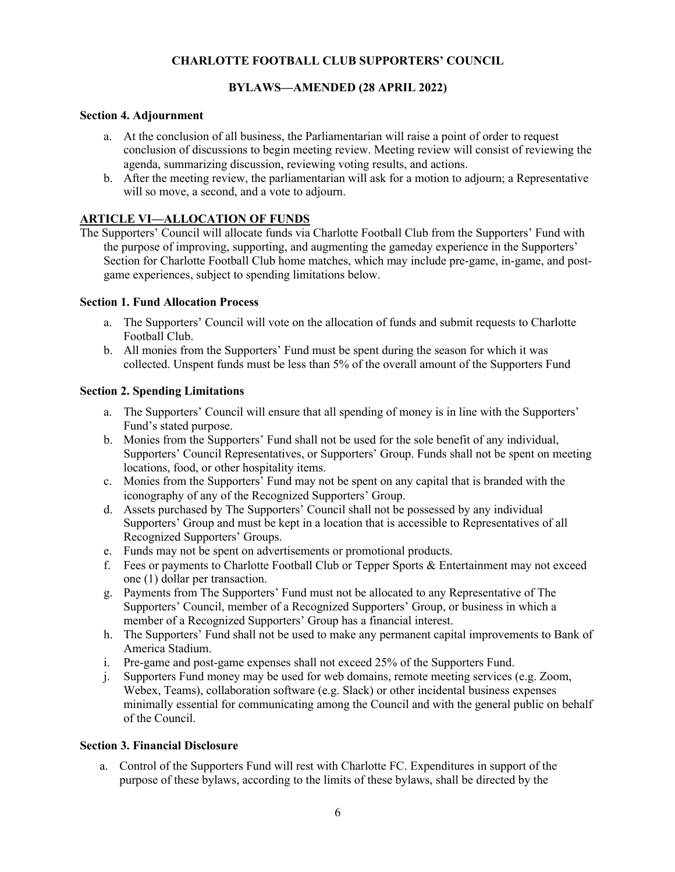## **BYLAWS—AMENDED (28 APRIL 2022)**

### **Section 4. Adjournment**

- a. At the conclusion of all business, the Parliamentarian will raise a point of order to request conclusion of discussions to begin meeting review. Meeting review will consist of reviewing the agenda, summarizing discussion, reviewing voting results, and actions.
- b. After the meeting review, the parliamentarian will ask for a motion to adjourn; a Representative will so move, a second, and a vote to adjourn.

## **ARTICLE VI—ALLOCATION OF FUNDS**

The Supporters' Council will allocate funds via Charlotte Football Club from the Supporters' Fund with the purpose of improving, supporting, and augmenting the gameday experience in the Supporters' Section for Charlotte Football Club home matches, which may include pre-game, in-game, and postgame experiences, subject to spending limitations below.

#### **Section 1. Fund Allocation Process**

- a. The Supporters' Council will vote on the allocation of funds and submit requests to Charlotte Football Club.
- b. All monies from the Supporters' Fund must be spent during the season for which it was collected. Unspent funds must be less than 5% of the overall amount of the Supporters Fund

#### **Section 2. Spending Limitations**

- a. The Supporters' Council will ensure that all spending of money is in line with the Supporters' Fund's stated purpose.
- b. Monies from the Supporters' Fund shall not be used for the sole benefit of any individual, Supporters' Council Representatives, or Supporters' Group. Funds shall not be spent on meeting locations, food, or other hospitality items.
- c. Monies from the Supporters' Fund may not be spent on any capital that is branded with the iconography of any of the Recognized Supporters' Group.
- d. Assets purchased by The Supporters' Council shall not be possessed by any individual Supporters' Group and must be kept in a location that is accessible to Representatives of all Recognized Supporters' Groups.
- e. Funds may not be spent on advertisements or promotional products.
- f. Fees or payments to Charlotte Football Club or Tepper Sports & Entertainment may not exceed one (1) dollar per transaction.
- g. Payments from The Supporters' Fund must not be allocated to any Representative of The Supporters' Council, member of a Recognized Supporters' Group, or business in which a member of a Recognized Supporters' Group has a financial interest.
- h. The Supporters' Fund shall not be used to make any permanent capital improvements to Bank of America Stadium.
- i. Pre-game and post-game expenses shall not exceed 25% of the Supporters Fund.
- j. Supporters Fund money may be used for web domains, remote meeting services (e.g. Zoom, Webex, Teams), collaboration software (e.g. Slack) or other incidental business expenses minimally essential for communicating among the Council and with the general public on behalf of the Council.

#### **Section 3. Financial Disclosure**

a. Control of the Supporters Fund will rest with Charlotte FC. Expenditures in support of the purpose of these bylaws, according to the limits of these bylaws, shall be directed by the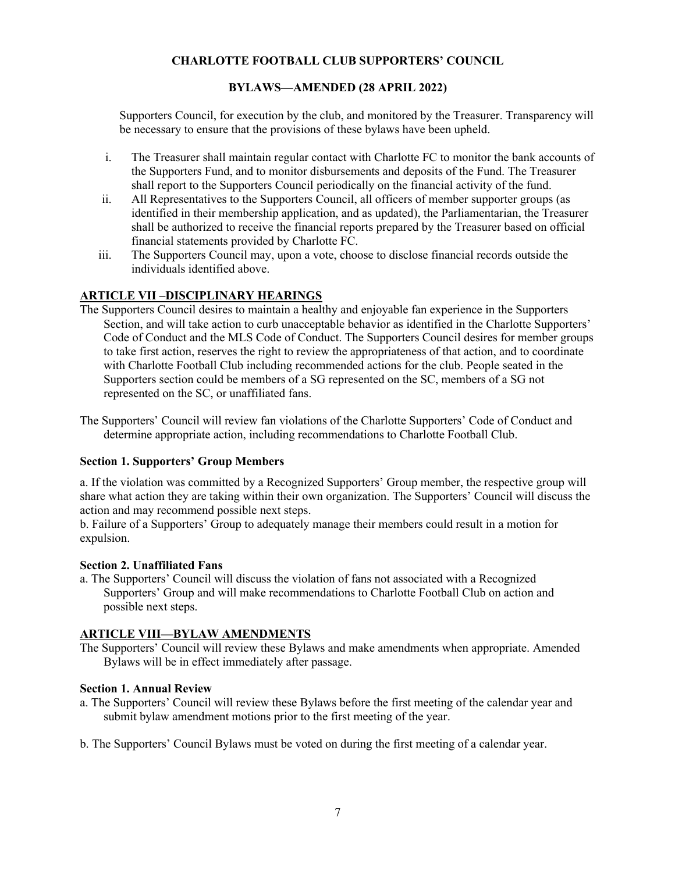## **BYLAWS—AMENDED (28 APRIL 2022)**

Supporters Council, for execution by the club, and monitored by the Treasurer. Transparency will be necessary to ensure that the provisions of these bylaws have been upheld.

- i. The Treasurer shall maintain regular contact with Charlotte FC to monitor the bank accounts of the Supporters Fund, and to monitor disbursements and deposits of the Fund. The Treasurer shall report to the Supporters Council periodically on the financial activity of the fund.
- ii. All Representatives to the Supporters Council, all officers of member supporter groups (as identified in their membership application, and as updated), the Parliamentarian, the Treasurer shall be authorized to receive the financial reports prepared by the Treasurer based on official financial statements provided by Charlotte FC.
- iii. The Supporters Council may, upon a vote, choose to disclose financial records outside the individuals identified above.

## **ARTICLE VII –DISCIPLINARY HEARINGS**

- The Supporters Council desires to maintain a healthy and enjoyable fan experience in the Supporters Section, and will take action to curb unacceptable behavior as identified in the Charlotte Supporters' Code of Conduct and the MLS Code of Conduct. The Supporters Council desires for member groups to take first action, reserves the right to review the appropriateness of that action, and to coordinate with Charlotte Football Club including recommended actions for the club. People seated in the Supporters section could be members of a SG represented on the SC, members of a SG not represented on the SC, or unaffiliated fans.
- The Supporters' Council will review fan violations of the Charlotte Supporters' Code of Conduct and determine appropriate action, including recommendations to Charlotte Football Club.

### **Section 1. Supporters' Group Members**

a. If the violation was committed by a Recognized Supporters' Group member, the respective group will share what action they are taking within their own organization. The Supporters' Council will discuss the action and may recommend possible next steps.

b. Failure of a Supporters' Group to adequately manage their members could result in a motion for expulsion.

#### **Section 2. Unaffiliated Fans**

a. The Supporters' Council will discuss the violation of fans not associated with a Recognized Supporters' Group and will make recommendations to Charlotte Football Club on action and possible next steps.

# **ARTICLE VIII—BYLAW AMENDMENTS**

The Supporters' Council will review these Bylaws and make amendments when appropriate. Amended Bylaws will be in effect immediately after passage.

#### **Section 1. Annual Review**

- a. The Supporters' Council will review these Bylaws before the first meeting of the calendar year and submit bylaw amendment motions prior to the first meeting of the year.
- b. The Supporters' Council Bylaws must be voted on during the first meeting of a calendar year.